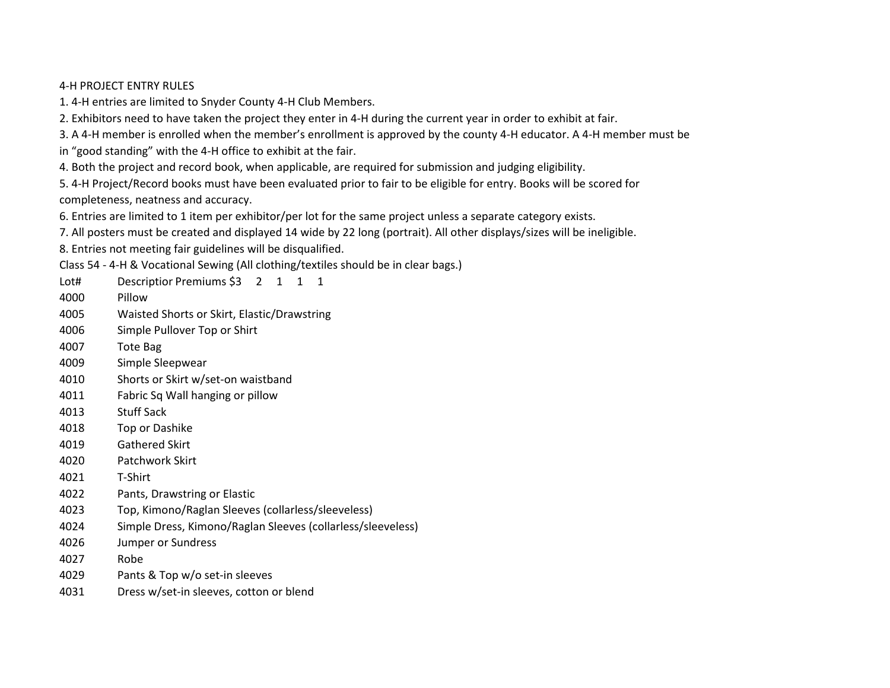## 4-H PROJECT ENTRY RULES

1. 4-H entries are limited to Snyder County 4-H Club Members.

2. Exhibitors need to have taken the project they enter in 4-H during the current year in order to exhibit at fair.

3. A 4-H member is enrolled when the member's enrollment is approved by the county 4-H educator. A 4-H member must be

in "good standing" with the 4-H office to exhibit at the fair.

4. Both the project and record book, when applicable, are required for submission and judging eligibility.

5. 4-H Project/Record books must have been evaluated prior to fair to be eligible for entry. Books will be scored for completeness, neatness and accuracy.

6. Entries are limited to 1 item per exhibitor/per lot for the same project unless a separate category exists.

7. All posters must be created and displayed 14 wide by 22 long (portrait). All other displays/sizes will be ineligible.

8. Entries not meeting fair guidelines will be disqualified.

Class 54 - 4-H & Vocational Sewing (All clothing/textiles should be in clear bags.)

Lot# Descriptior Premiums \$3 2 1 1 1

- 4000 Pillow
- 4005 Waisted Shorts or Skirt, Elastic/Drawstring
- 4006 Simple Pullover Top or Shirt
- 4007 Tote Bag
- 4009 Simple Sleepwear
- 4010 Shorts or Skirt w/set-on waistband
- 4011 Fabric Sq Wall hanging or pillow
- 4013 Stuff Sack
- 4018 Top or Dashike
- 4019 Gathered Skirt
- 4020 Patchwork Skirt
- 4021 T-Shirt
- 4022 Pants, Drawstring or Elastic
- 4023 Top, Kimono/Raglan Sleeves (collarless/sleeveless)
- 4024 Simple Dress, Kimono/Raglan Sleeves (collarless/sleeveless)
- 4026 Jumper or Sundress
- 4027 Robe
- 4029 Pants & Top w/o set-in sleeves
- 4031 Dress w/set-in sleeves, cotton or blend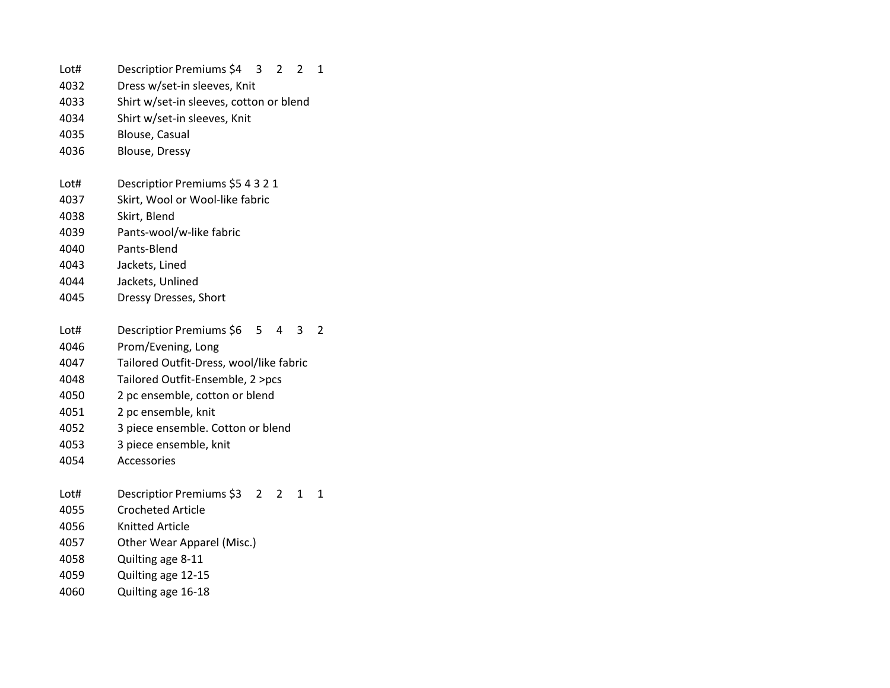Lot# Descriptior Premiums \$4 3 2 2 1 Dress w/set-in sleeves, Knit Shirt w/set-in sleeves, cotton or blend Shirt w/set-in sleeves, Knit Blouse, Casual Blouse, Dressy Lot# Descriptior Premiums \$5 4 3 2 1 Skirt, Wool or Wool-like fabric Skirt, Blend Pants-wool/w-like fabric Pants-Blend Jackets, Lined Jackets, Unlined Dressy Dresses, Short Lot# Descriptior Premiums \$6 5 4 3 2 Prom/Evening, Long Tailored Outfit-Dress, wool/like fabric Tailored Outfit-Ensemble, 2 >pcs 2 pc ensemble, cotton or blend 2 pc ensemble, knit 3 piece ensemble. Cotton or blend 3 piece ensemble, knit Accessories Lot# Descriptior Premiums \$3 2 2 1 1 Crocheted Article Knitted Article Other Wear Apparel (Misc.) Quilting age 8-11 Quilting age 12-15 Quilting age 16-18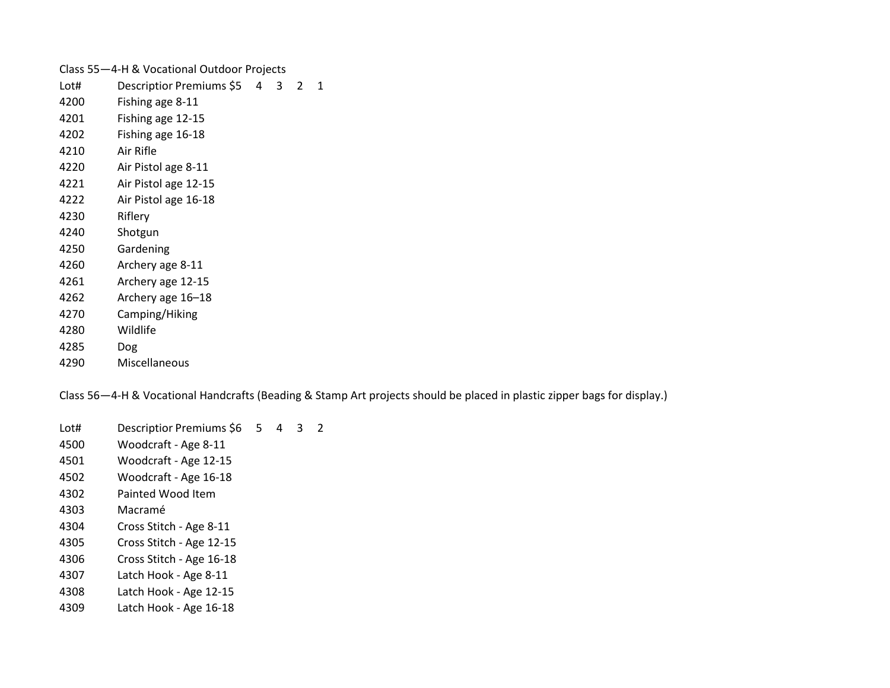| Class 55-4-H & Vocational Outdoor Projects |                            |  |   |   |   |
|--------------------------------------------|----------------------------|--|---|---|---|
| Lot#                                       | Descriptior Premiums \$5 4 |  | 3 | 2 | 1 |
| 4200                                       | Fishing age 8-11           |  |   |   |   |
| 4201                                       | Fishing age 12-15          |  |   |   |   |
| 4202                                       | Fishing age 16-18          |  |   |   |   |
| 4210                                       | Air Rifle                  |  |   |   |   |
| 4220                                       | Air Pistol age 8-11        |  |   |   |   |
| 4221                                       | Air Pistol age 12-15       |  |   |   |   |
| 4222                                       | Air Pistol age 16-18       |  |   |   |   |
| 4230                                       | Riflery                    |  |   |   |   |
| 4240                                       | Shotgun                    |  |   |   |   |
| 4250                                       | Gardening                  |  |   |   |   |
| 4260                                       | Archery age 8-11           |  |   |   |   |
| 4261                                       | Archery age 12-15          |  |   |   |   |
| 4262                                       | Archery age 16-18          |  |   |   |   |
| 4270                                       | Camping/Hiking             |  |   |   |   |
| 4280                                       | Wildlife                   |  |   |   |   |
| 4285                                       | Dog                        |  |   |   |   |
| 4290                                       | Miscellaneous              |  |   |   |   |

Class 56—4-H & Vocational Handcrafts (Beading & Stamp Art projects should be placed in plastic zipper bags for display.)

Lot# Descriptior Premiums \$6 5 4 3 2 Woodcraft - Age 8-11

- Woodcraft Age 12-15
- Woodcraft Age 16-18
- Painted Wood Item
- Macramé
- Cross Stitch Age 8-11
- Cross Stitch Age 12-15
- Cross Stitch Age 16-18
- Latch Hook Age 8-11
- Latch Hook Age 12-15
- Latch Hook Age 16-18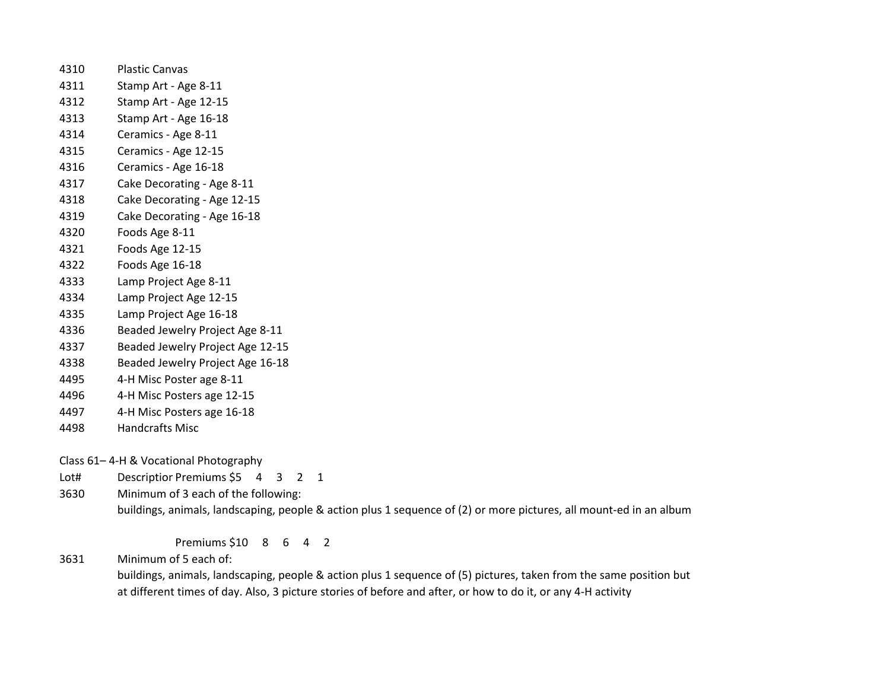- Plastic Canvas Stamp Art - Age 8-11 Stamp Art - Age 12-15 Stamp Art - Age 16-18 Ceramics - Age 8-11 Ceramics - Age 12-15 Ceramics - Age 16-18 Cake Decorating - Age 8-11 Cake Decorating - Age 12-15 Cake Decorating - Age 16-18 Foods Age 8-11 Foods Age 12-15 Foods Age 16-18 Lamp Project Age 8-11 Lamp Project Age 12-15 Lamp Project Age 16-18 Beaded Jewelry Project Age 8-11
- Beaded Jewelry Project Age 12-15
- Beaded Jewelry Project Age 16-18
- 4-H Misc Poster age 8-11
- 4-H Misc Posters age 12-15
- 4-H Misc Posters age 16-18
- Handcrafts Misc

Class 61– 4-H & Vocational Photography

Lot# Descriptior Premiums \$5 4 3 2 1

Minimum of 3 each of the following:

buildings, animals, landscaping, people & action plus 1 sequence of (2) or more pictures, all mount-ed in an album

Premiums \$10 8 6 4 2

Minimum of 5 each of:

buildings, animals, landscaping, people & action plus 1 sequence of (5) pictures, taken from the same position but at different times of day. Also, 3 picture stories of before and after, or how to do it, or any 4-H activity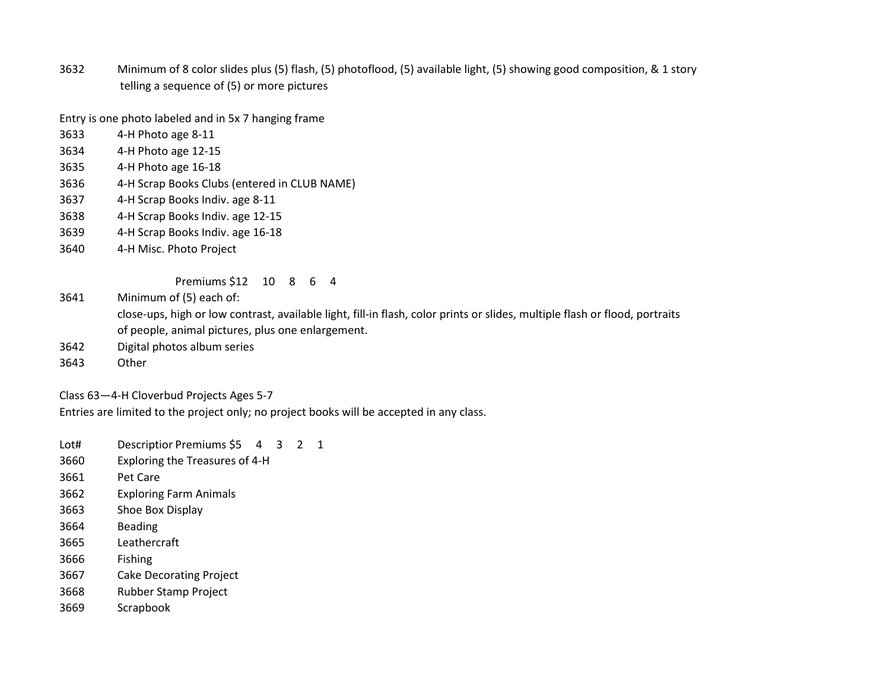Minimum of 8 color slides plus (5) flash, (5) photoflood, (5) available light, (5) showing good composition, & 1 story telling a sequence of (5) or more pictures

Entry is one photo labeled and in 5x 7 hanging frame

- 4-H Photo age 8-11
- 4-H Photo age 12-15
- 4-H Photo age 16-18
- 4-H Scrap Books Clubs (entered in CLUB NAME)
- 4-H Scrap Books Indiv. age 8-11
- 4-H Scrap Books Indiv. age 12-15
- 4-H Scrap Books Indiv. age 16-18
- 4-H Misc. Photo Project

Premiums \$12 10 8 6 4

Minimum of (5) each of:

close-ups, high or low contrast, available light, fill-in flash, color prints or slides, multiple flash or flood, portraits of people, animal pictures, plus one enlargement.

- Digital photos album series
- Other

Class 63—4-H Cloverbud Projects Ages 5-7

Entries are limited to the project only; no project books will be accepted in any class.

Lot# Descriptior Premiums \$5 4 3 2 1

- Exploring the Treasures of 4-H
- Pet Care
- Exploring Farm Animals
- Shoe Box Display
- Beading
- Leathercraft
- Fishing
- Cake Decorating Project
- Rubber Stamp Project
- Scrapbook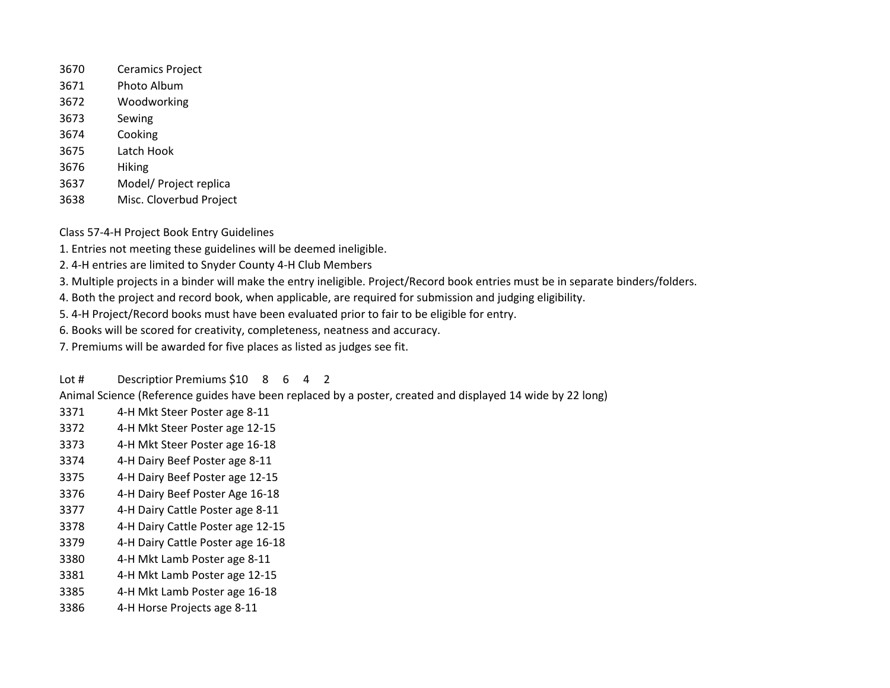- Ceramics Project
- Photo Album
- Woodworking
- Sewing
- Cooking
- Latch Hook
- Hiking
- Model/ Project replica
- Misc. Cloverbud Project

Class 57-4-H Project Book Entry Guidelines

- 1. Entries not meeting these guidelines will be deemed ineligible.
- 2. 4-H entries are limited to Snyder County 4-H Club Members
- 3. Multiple projects in a binder will make the entry ineligible. Project/Record book entries must be in separate binders/folders.
- 4. Both the project and record book, when applicable, are required for submission and judging eligibility.
- 5. 4-H Project/Record books must have been evaluated prior to fair to be eligible for entry.
- 6. Books will be scored for creativity, completeness, neatness and accuracy.
- 7. Premiums will be awarded for five places as listed as judges see fit.

Lot # Descriptior Premiums \$10 8 6 4 2

Animal Science (Reference guides have been replaced by a poster, created and displayed 14 wide by 22 long)

- 4-H Mkt Steer Poster age 8-11
- 4-H Mkt Steer Poster age 12-15
- 4-H Mkt Steer Poster age 16-18
- 4-H Dairy Beef Poster age 8-11
- 4-H Dairy Beef Poster age 12-15
- 4-H Dairy Beef Poster Age 16-18
- 4-H Dairy Cattle Poster age 8-11
- 4-H Dairy Cattle Poster age 12-15
- 4-H Dairy Cattle Poster age 16-18
- 4-H Mkt Lamb Poster age 8-11
- 4-H Mkt Lamb Poster age 12-15
- 4-H Mkt Lamb Poster age 16-18
- 4-H Horse Projects age 8-11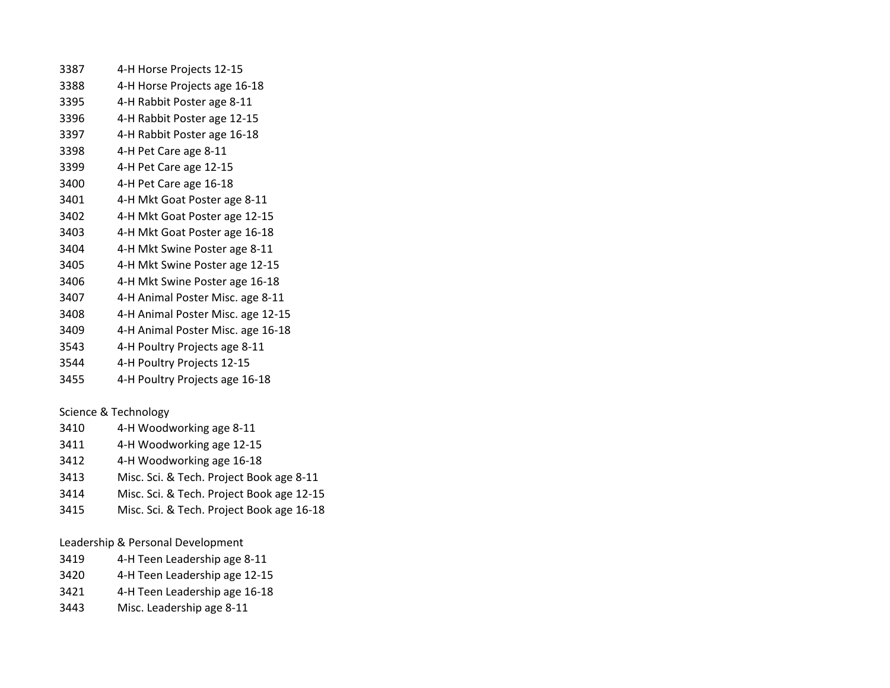| 3387 | 4-H Horse Projects 12-15          |
|------|-----------------------------------|
| 3388 | 4-H Horse Projects age 16-18      |
| 3395 | 4-H Rabbit Poster age 8-11        |
| 3396 | 4-H Rabbit Poster age 12-15       |
| 3397 | 4-H Rabbit Poster age 16-18       |
| 3398 | 4-H Pet Care age 8-11             |
| 3399 | 4-H Pet Care age 12-15            |
| 3400 | 4-H Pet Care age 16-18            |
| 3401 | 4-H Mkt Goat Poster age 8-11      |
| 3402 | 4-H Mkt Goat Poster age 12-15     |
| 3403 | 4-H Mkt Goat Poster age 16-18     |
| 3404 | 4-H Mkt Swine Poster age 8-11     |
| 3405 | 4-H Mkt Swine Poster age 12-15    |
| 3406 | 4-H Mkt Swine Poster age 16-18    |
| 3407 | 4-H Animal Poster Misc. age 8-11  |
| 3408 | 4-H Animal Poster Misc. age 12-15 |
| 3409 | 4-H Animal Poster Misc. age 16-18 |
| 3543 | 4-H Poultry Projects age 8-11     |
|      |                                   |

- 4-H Poultry Projects 12-15
- 4-H Poultry Projects age 16-18

Science & Technology

- 4-H Woodworking age 8-11 4-H Woodworking age 12-15
- 4-H Woodworking age 16-18
- Misc. Sci. & Tech. Project Book age 8-11
- Misc. Sci. & Tech. Project Book age 12-15
- Misc. Sci. & Tech. Project Book age 16-18

Leadership & Personal Development

- 4-H Teen Leadership age 8-11
- 4-H Teen Leadership age 12-15
- 4-H Teen Leadership age 16-18
- Misc. Leadership age 8-11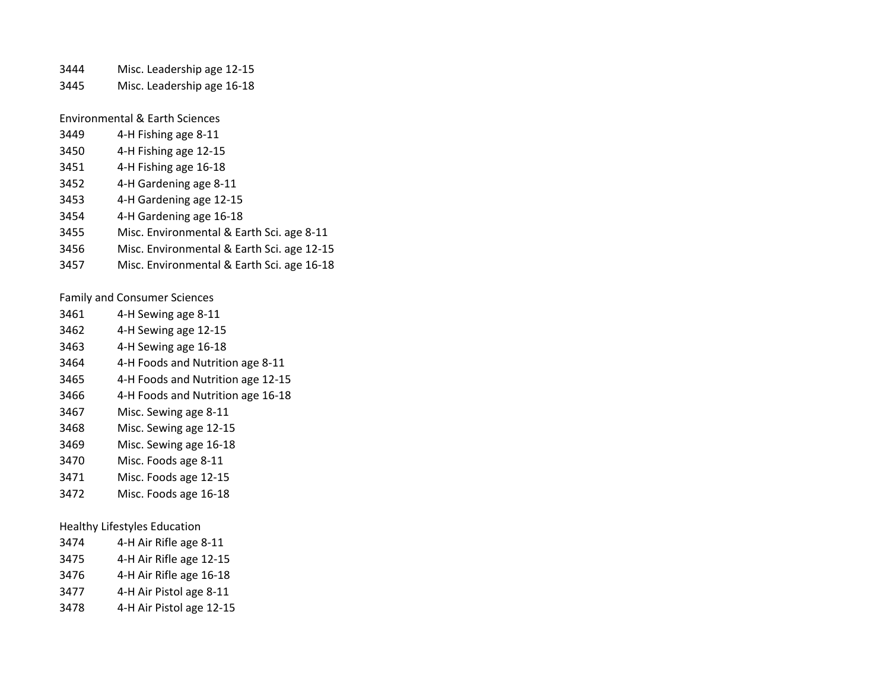- Misc. Leadership age 12-15
- Misc. Leadership age 16-18

Environmental & Earth Sciences

- 4-H Fishing age 8-11
- 4-H Fishing age 12-15
- 4-H Fishing age 16-18
- 4-H Gardening age 8-11
- 4-H Gardening age 12-15
- 4-H Gardening age 16-18
- Misc. Environmental & Earth Sci. age 8-11
- Misc. Environmental & Earth Sci. age 12-15
- Misc. Environmental & Earth Sci. age 16-18

Family and Consumer Sciences

- 4-H Sewing age 8-11
- 4-H Sewing age 12-15
- 4-H Sewing age 16-18
- 4-H Foods and Nutrition age 8-11
- 4-H Foods and Nutrition age 12-15
- 4-H Foods and Nutrition age 16-18
- Misc. Sewing age 8-11
- Misc. Sewing age 12-15
- Misc. Sewing age 16-18
- Misc. Foods age 8-11
- Misc. Foods age 12-15
- Misc. Foods age 16-18

Healthy Lifestyles Education

| 3474 | 4-H Air Rifle age 8-11   |
|------|--------------------------|
| 3475 | 4-H Air Rifle age 12-15  |
| 3476 | 4-H Air Rifle age 16-18  |
| 3477 | 4-H Air Pistol age 8-11  |
| 3478 | 4-H Air Pistol age 12-15 |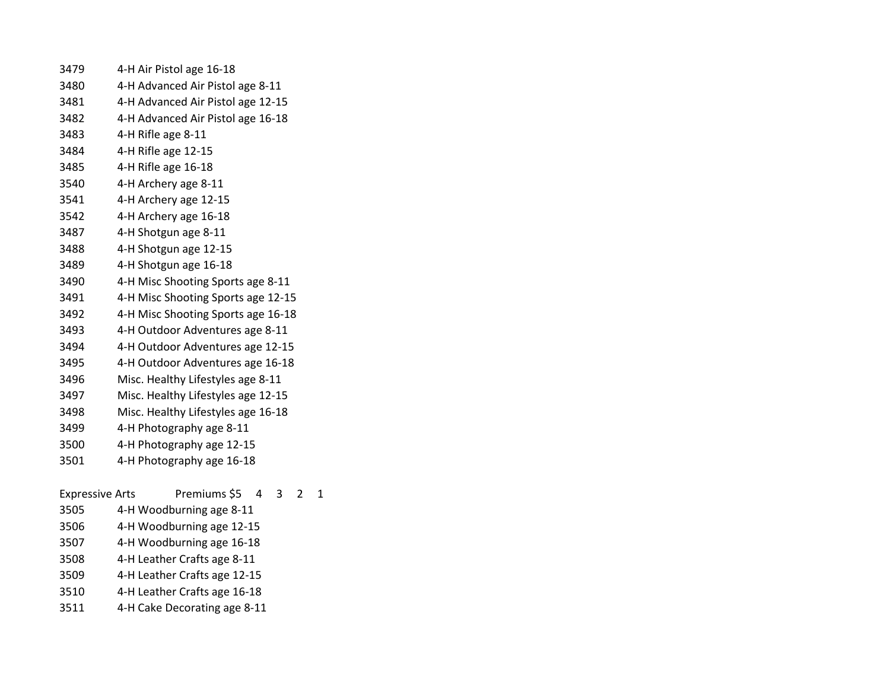| 3479 | 4-H Air Pistol age 16-18           |
|------|------------------------------------|
| 3480 | 4-H Advanced Air Pistol age 8-11   |
| 3481 | 4-H Advanced Air Pistol age 12-15  |
| 3482 | 4-H Advanced Air Pistol age 16-18  |
| 3483 | 4-H Rifle age 8-11                 |
| 3484 | 4-H Rifle age 12-15                |
| 3485 | 4-H Rifle age 16-18                |
| 3540 | 4-H Archery age 8-11               |
| 3541 | 4-H Archery age 12-15              |
| 3542 | 4-H Archery age 16-18              |
| 3487 | 4-H Shotgun age 8-11               |
| 3488 | 4-H Shotgun age 12-15              |
| 3489 | 4-H Shotgun age 16-18              |
| 3490 | 4-H Misc Shooting Sports age 8-11  |
| 3491 | 4-H Misc Shooting Sports age 12-15 |
| 3492 | 4-H Misc Shooting Sports age 16-18 |
| 3493 | 4-H Outdoor Adventures age 8-11    |
| 3494 | 4-H Outdoor Adventures age 12-15   |
| 3495 | 4-H Outdoor Adventures age 16-18   |
| 3496 | Misc. Healthy Lifestyles age 8-11  |
| 3497 | Misc. Healthy Lifestyles age 12-15 |
| 3498 | Misc. Healthy Lifestyles age 16-18 |
| 3499 | 4-H Photography age 8-11           |
| 3500 | 4-H Photography age 12-15          |
| 3501 | 4-H Photography age 16-18          |
|      |                                    |

Expressive Arts Premiums \$5 4 3 2 1 4-H Woodburning age 8-11 4-H Woodburning age 12-15 4-H Woodburning age 16-18 4-H Leather Crafts age 8-11 4-H Leather Crafts age 12-15 4-H Leather Crafts age 16-18

4-H Cake Decorating age 8-11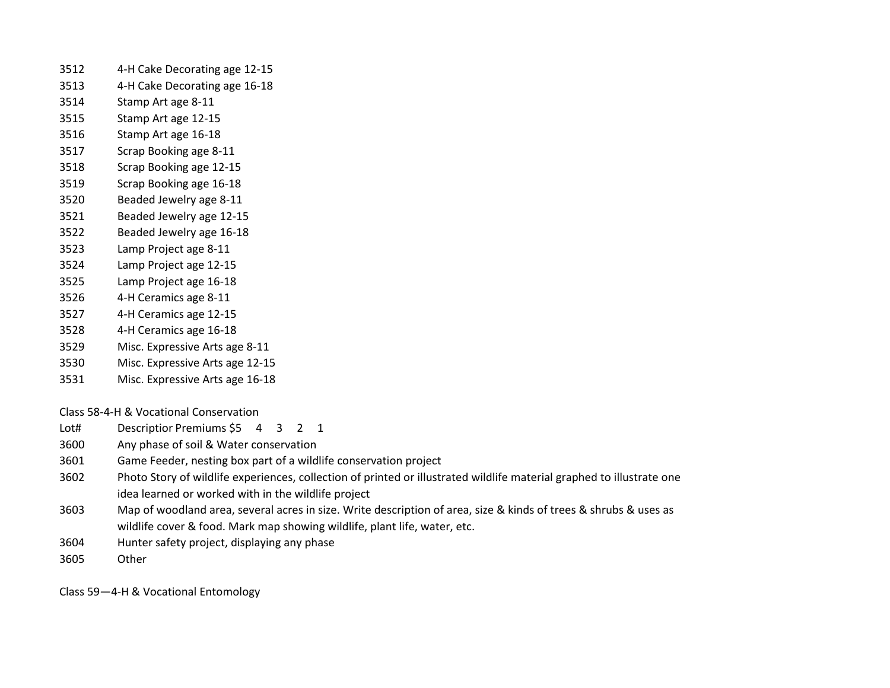- 4-H Cake Decorating age 12-15
- 4-H Cake Decorating age 16-18
- Stamp Art age 8-11
- Stamp Art age 12-15
- Stamp Art age 16-18
- Scrap Booking age 8-11
- Scrap Booking age 12-15
- Scrap Booking age 16-18
- Beaded Jewelry age 8-11
- Beaded Jewelry age 12-15
- Beaded Jewelry age 16-18
- Lamp Project age 8-11
- Lamp Project age 12-15
- Lamp Project age 16-18
- 4-H Ceramics age 8-11
- 4-H Ceramics age 12-15
- 4-H Ceramics age 16-18
- Misc. Expressive Arts age 8-11
- Misc. Expressive Arts age 12-15
- Misc. Expressive Arts age 16-18

Class 58-4-H & Vocational Conservation

- Lot# Descriptior Premiums \$5 4 3 2 1
- Any phase of soil & Water conservation
- Game Feeder, nesting box part of a wildlife conservation project
- Photo Story of wildlife experiences, collection of printed or illustrated wildlife material graphed to illustrate one idea learned or worked with in the wildlife project
- Map of woodland area, several acres in size. Write description of area, size & kinds of trees & shrubs & uses as wildlife cover & food. Mark map showing wildlife, plant life, water, etc.
- Hunter safety project, displaying any phase
- Other

Class 59—4-H & Vocational Entomology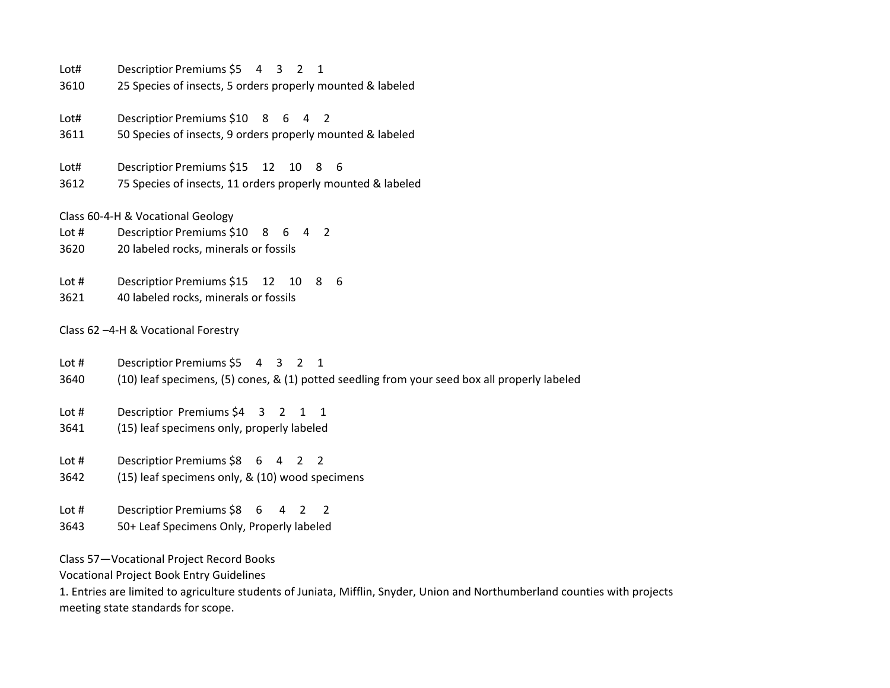| Lot#  | Descriptior Premiums \$5 4 3<br>$\overline{2}$<br>$\mathbf{1}$                                            |
|-------|-----------------------------------------------------------------------------------------------------------|
| 3610  | 25 Species of insects, 5 orders properly mounted & labeled                                                |
| Lot#  | Descriptior Premiums \$10 8<br>6<br>4<br>2                                                                |
| 3611  | 50 Species of insects, 9 orders properly mounted & labeled                                                |
| Lot#  | Descriptior Premiums \$15<br>10<br>12<br>8<br>6                                                           |
| 3612  | 75 Species of insects, 11 orders properly mounted & labeled                                               |
|       | Class 60-4-H & Vocational Geology                                                                         |
| Lot # | Descriptior Premiums \$10 8<br>2<br>6<br>4                                                                |
| 3620  | 20 labeled rocks, minerals or fossils                                                                     |
| Lot # | Descriptior Premiums \$15<br>10<br>6<br>12<br>8                                                           |
| 3621  | 40 labeled rocks, minerals or fossils                                                                     |
|       | Class 62-4-H & Vocational Forestry                                                                        |
| Lot # | Descriptior Premiums \$5 4 3<br>$\overline{2}$<br>1                                                       |
| 3640  | (10) leaf specimens, (5) cones, & (1) potted seedling from your seed box all properly labeled             |
| Lot # | Descriptior Premiums \$4 3<br>$\overline{2}$<br>$\mathbf{1}$<br>$\mathbf{1}$                              |
| 3641  | (15) leaf specimens only, properly labeled                                                                |
| Lot # | Descriptior Premiums \$8 6 4<br>$\overline{2}$<br>$\overline{2}$                                          |
| 3642  | (15) leaf specimens only, & (10) wood specimens                                                           |
| Lot # | Descriptior Premiums \$8 6<br>4<br>2<br>2                                                                 |
| 3643  | 50+ Leaf Specimens Only, Properly labeled                                                                 |
|       | Class 57-Vocational Project Record Books                                                                  |
|       | <b>Vocational Project Book Entry Guidelines</b>                                                           |
|       | 1. Entrice are limited to agriculture students of luniate. Mifflin, Snuder, Union and Northumberland cour |

1. Entries are limited to agriculture students of Juniata, Mifflin, Snyder, Union and Northumberland counties with projects meeting state standards for scope.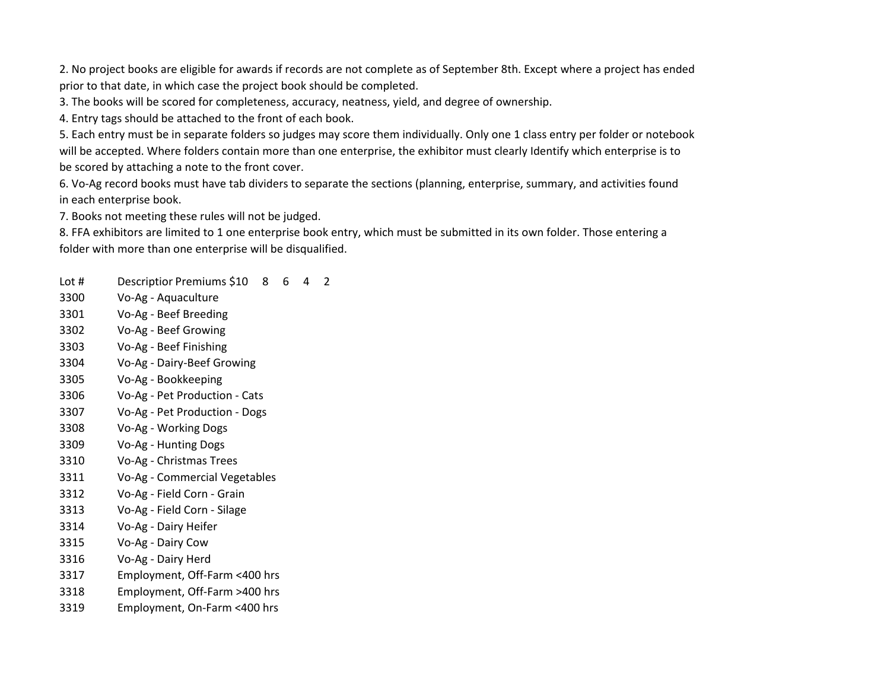2. No project books are eligible for awards if records are not complete as of September 8th. Except where a project has ended prior to that date, in which case the project book should be completed.

3. The books will be scored for completeness, accuracy, neatness, yield, and degree of ownership.

4. Entry tags should be attached to the front of each book.

5. Each entry must be in separate folders so judges may score them individually. Only one 1 class entry per folder or notebook will be accepted. Where folders contain more than one enterprise, the exhibitor must clearly Identify which enterprise is to be scored by attaching a note to the front cover.

6. Vo-Ag record books must have tab dividers to separate the sections (planning, enterprise, summary, and activities found in each enterprise book.

7. Books not meeting these rules will not be judged.

8. FFA exhibitors are limited to 1 one enterprise book entry, which must be submitted in its own folder. Those entering a folder with more than one enterprise will be disqualified.

Lot # Descriptior Premiums \$10 8 6 4 2

- Vo-Ag Aquaculture
- Vo-Ag Beef Breeding
- Vo-Ag Beef Growing
- Vo-Ag Beef Finishing
- Vo-Ag Dairy-Beef Growing
- Vo-Ag Bookkeeping
- Vo-Ag Pet Production Cats
- Vo-Ag Pet Production Dogs
- Vo-Ag Working Dogs
- Vo-Ag Hunting Dogs
- Vo-Ag Christmas Trees
- Vo-Ag Commercial Vegetables
- Vo-Ag Field Corn Grain
- Vo-Ag Field Corn Silage
- Vo-Ag Dairy Heifer
- Vo-Ag Dairy Cow
- Vo-Ag Dairy Herd
- Employment, Off-Farm <400 hrs
- Employment, Off-Farm >400 hrs
- Employment, On-Farm <400 hrs